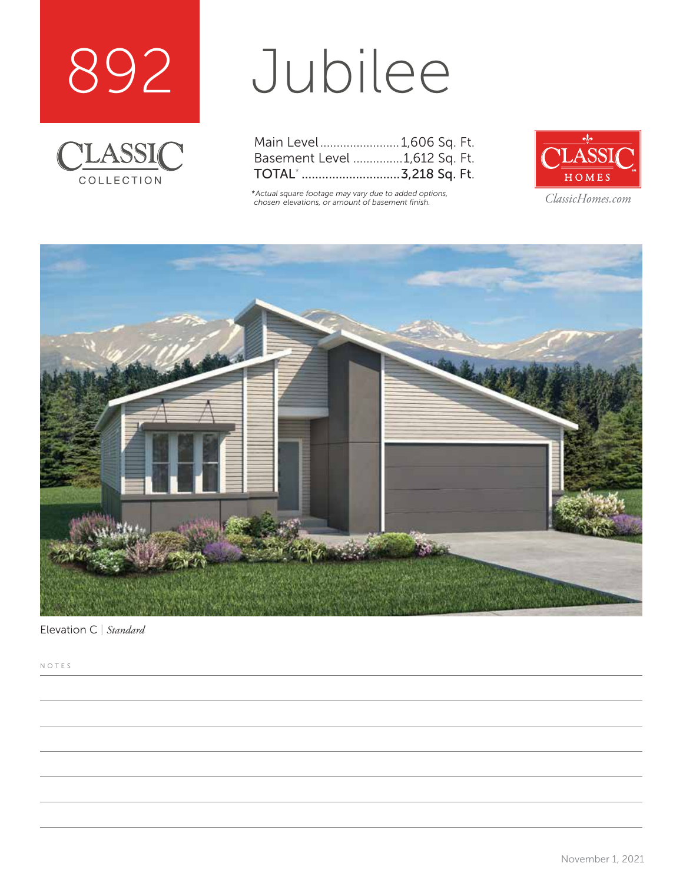



# Jubilee

| Main Level 1,606 Sq. Ft.         |  |  |
|----------------------------------|--|--|
| Basement Level 1,612 Sq. Ft.     |  |  |
| TOTAL <sup>*</sup> 3,218 Sq. Ft. |  |  |

*\*Actual square footage may vary due to added options, chosen elevations, or amount of basement finish. ClassicHomes.com*





Elevation C | *Standard*

NOTES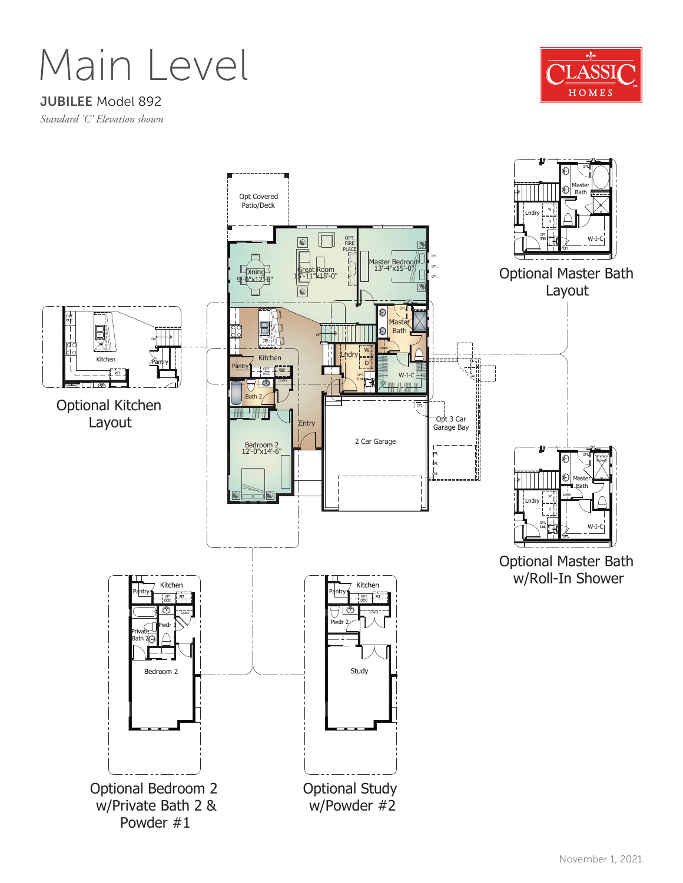Main Level

#### JUBILEE Model 892

*Standard 'C' Elevation shown*



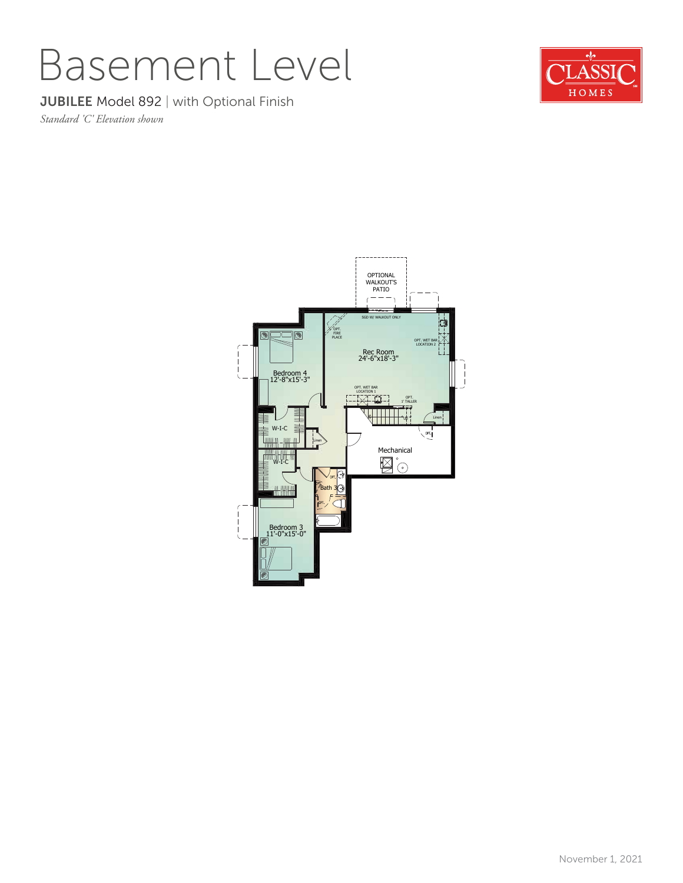### Basement Level

### **JUBILEE Model 892 | with Optional Finish**

*Standard 'C' Elevation shown*